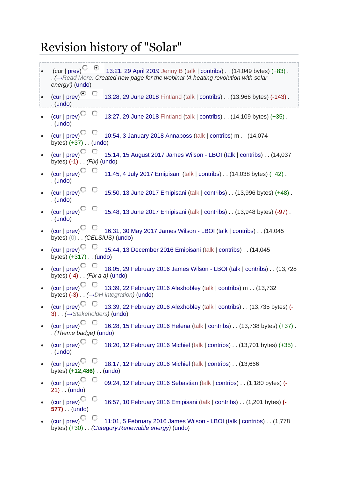## Revision history of "Solar"

| • 13:21, 29 April 2019 Jenny B (talk   contribs) $\ldots$ (14,049 bytes) (+83).<br>(cur   prev) <sup><math>\mathbb{C}</math></sup><br>. ( $\rightarrow$ Read More: Created new page for the webinar 'A heating revolution with solar<br>energy') (undo) |
|---------------------------------------------------------------------------------------------------------------------------------------------------------------------------------------------------------------------------------------------------------|
| $\overline{\text{(cur)}}\text{prev}$<br>13:28, 29 June 2018 Fintland (talk   contribs) (13,966 bytes) (-143) .<br>$.$ (undo)                                                                                                                            |
| (cur   prev) <sup><math>\bigcirc</math></sup><br>13:27, 29 June 2018 Fintland (talk   contribs) (14,109 bytes) (+35).<br>$.$ (undo)                                                                                                                     |
| (cur   prev) <sup>C</sup> <sup>C</sup> 10:54, 3 January 2018 Annaboss (talk   contribs) m (14,074<br>bytes) $(+37)$ (undo)                                                                                                                              |
| (cur   prev) <sup>C</sup> C 15:14, 15 August 2017 James Wilson - LBOI (talk   contribs) (14,037<br>bytes) $(-1)$ . $(Fix)$ (undo)                                                                                                                       |
| $\left(\text{cur} \mid \text{prev}\right)^{\bigcirc}$ $\bigcirc$<br>11:45, 4 July 2017 Emipisani (talk   contribs) (14,038 bytes) (+42) .<br>$.$ (undo)                                                                                                 |
| $\left(\text{cur} \mid \text{prev}\right)$ <sup><math>\textcircled{}</math></sup><br>15:50, 13 June 2017 Emipisani (talk   contribs) (13,996 bytes) (+48).<br>$.$ (undo)                                                                                |
| $\left(\text{cur} \mid \text{prev}\right)^\bigcirc$ $\bigcirc$<br>15:48, 13 June 2017 Emipisani (talk   contribs) (13,948 bytes) (-97) .<br>$.$ (undo)                                                                                                  |
| (cur   prev) <sup>C</sup> <sup>C</sup> 16:31, 30 May 2017 James Wilson - LBOI (talk   contribs) (14,045<br>bytes) (0) (CELSIUS) (undo)                                                                                                                  |
| (cur   prev) <sup>C</sup> <sup>C</sup> 15:44, 13 December 2016 Emipisani (talk   contribs) (14,045<br>bytes) (+317) (undo)                                                                                                                              |
| (cur   prev) <sup>C</sup> C 18:05, 29 February 2016 James Wilson - LBOI (talk   contribs) (13,728<br>bytes) $(-4)$ (Fix a a) (undo)                                                                                                                     |
| (cur   prev) <sup>C</sup> <sup>C</sup> 13:39, 22 February 2016 Alexhobley (talk   contribs) m (13,732<br>bytes) $(-3)$ . $(\rightarrow$ DH integration) (undo)                                                                                          |
| (cur   prev) <sup>C</sup> C 13:39, 22 February 2016 Alexhobley (talk   contribs) $\ldots$ (13,735 bytes) (-<br>3) $\ldots$ ( $\rightarrow$ Stakeholders) (undo)                                                                                         |
| $\left(\text{cur} \mid \text{prev}\right)^{\bigcirc}$<br>16:28, 15 February 2016 Helena (talk   contribs) (13,738 bytes) (+37) .<br>. (Theme badge) (undo)                                                                                              |
| (cur   prev) <sup>C</sup> C<br>18:20, 12 February 2016 Michiel (talk   contribs) (13,701 bytes) (+35) .<br>$.$ (undo)                                                                                                                                   |
| (cur   prev) <sup>C</sup> C<br>18:17, 12 February 2016 Michiel (talk   contribs) (13,666<br>bytes) (+12,486) (undo)                                                                                                                                     |
| (cur   prev)<br>09:24, 12 February 2016 Sebastian (talk   contribs) (1,180 bytes) (-<br>$21)$ . (undo)                                                                                                                                                  |
| $\left(\text{cur} \mid \text{prev}\right)^{\bigcirc}$<br>16:57, 10 February 2016 Emipisani (talk   contribs) (1,201 bytes) (-<br>$577)$ . (undo)                                                                                                        |
| $\left(\text{cur} \mid \text{prev}\right)^{\bigcirc}$<br>11:01, 5 February 2016 James Wilson - LBOI (talk   contribs) (1,778<br>bytes) (+30) (Category:Renewable energy) (undo)                                                                         |